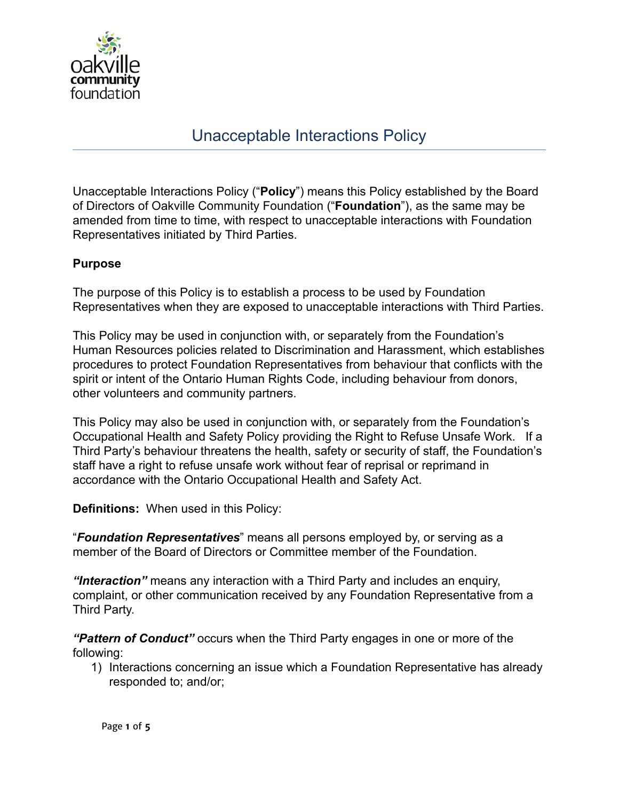

## Unacceptable Interactions Policy

Unacceptable Interactions Policy (" **Policy** ") means this Policy established by the Board of Directors of Oakville Community Foundation (" **Foundation** "), as the same may be amended from time to time, with respect to unacceptable interactions with Foundation Representatives initiated by Third Parties.

## **Purpose**

The purpose of this Policy is to establish a process to be used by Foundation Representatives when they are exposed to unacceptable interactions with Third Parties.

This Policy may be used in conjunction with, or separately from the Foundation's Human Resources policies related to Discrimination and Harassment, which establishes procedures to protect Foundation Representatives from behaviour that conflicts with the spirit or intent of the Ontario Human Rights Code, including behaviour from donors, other volunteers and community partners.

This Policy may also be used in conjunction with, or separately from the Foundation's Occupational Health and Safety Policy providing the Right to Refuse Unsafe Work. If a Third Party's behaviour threatens the health, safety or security of staff, the Foundation's staff have a right to refuse unsafe work without fear of reprisal or reprimand in accordance with the Ontario Occupational Health and Safety Act.

**Definitions:** When used in this Policy:

" *Foundation Representatives* " means all persons employed by, or serving as a member of the Board of Directors or Committee member of the Foundation.

*"Interaction"* means any interaction with a Third Party and includes an enquiry, complaint, or other communication received by any Foundation Representative from a Third Party.

*"Pattern of Conduct"* occurs when the Third Party engages in one or more of the following:

1) Interactions concerning an issue which a Foundation Representative has already responded to; and/or;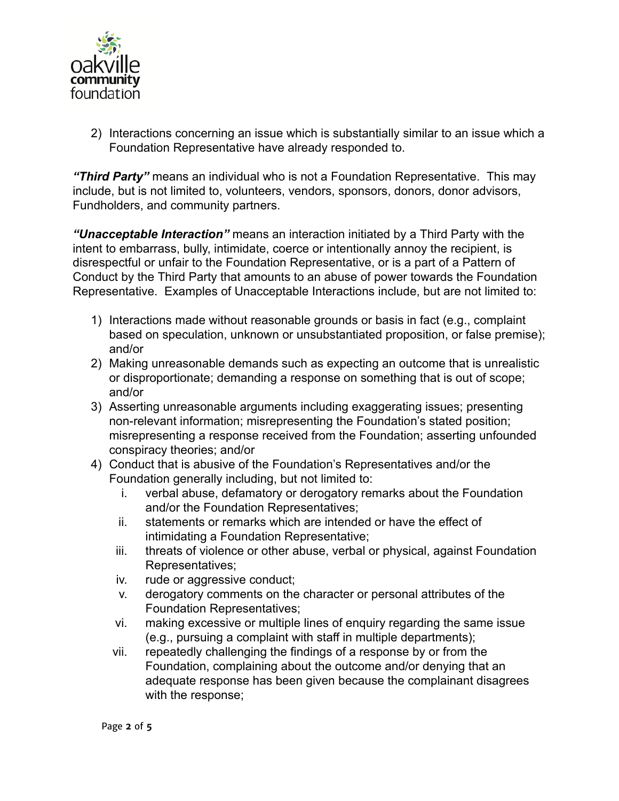

2) Interactions concerning an issue which is substantially similar to an issue which a Foundation Representative have already responded to.

*"Third Party"* means an individual who is not a Foundation Representative. This may include, but is not limited to, volunteers, vendors, sponsors, donors, donor advisors, Fundholders, and community partners.

*"Unacceptable Interaction"* means an interaction initiated by a Third Party with the intent to embarrass, bully, intimidate, coerce or intentionally annoy the recipient, is disrespectful or unfair to the Foundation Representative, or is a part of a Pattern of Conduct by the Third Party that amounts to an abuse of power towards the Foundation Representative. Examples of Unacceptable Interactions include, but are not limited to:

- 1) Interactions made without reasonable grounds or basis in fact (e.g., complaint based on speculation, unknown or unsubstantiated proposition, or false premise); and/or
- 2) Making unreasonable demands such as expecting an outcome that is unrealistic or disproportionate; demanding a response on something that is out of scope; and/or
- 3) Asserting unreasonable arguments including exaggerating issues; presenting non-relevant information; misrepresenting the Foundation's stated position; misrepresenting a response received from the Foundation; asserting unfounded conspiracy theories; and/or
- 4) Conduct that is abusive of the Foundation's Representatives and/or the Foundation generally including, but not limited to:
	- i. verbal abuse, defamatory or derogatory remarks about the Foundation and/or the Foundation Representatives;
	- ii. statements or remarks which are intended or have the effect of intimidating a Foundation Representative;
	- iii. threats of violence or other abuse, verbal or physical, against Foundation Representatives;
	- iv. rude or aggressive conduct;
	- v. derogatory comments on the character or personal attributes of the Foundation Representatives;
	- vi. making excessive or multiple lines of enquiry regarding the same issue (e.g., pursuing a complaint with staff in multiple departments);
	- vii. repeatedly challenging the findings of a response by or from the Foundation, complaining about the outcome and/or denying that an adequate response has been given because the complainant disagrees with the response;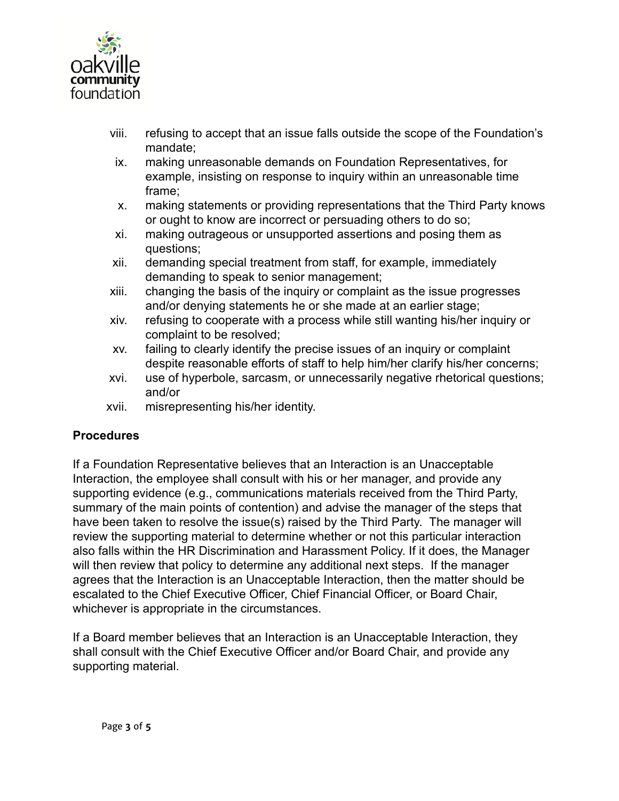

- viii. refusing to accept that an issue falls outside the scope of the Foundation's mandate;
- ix. making unreasonable demands on Foundation Representatives, for example, insisting on response to inquiry within an unreasonable time frame;
- x. making statements or providing representations that the Third Party knows or ought to know are incorrect or persuading others to do so;
- xi. making outrageous or unsupported assertions and posing them as questions;
- xii. demanding special treatment from staff, for example, immediately demanding to speak to senior management;
- xiii. changing the basis of the inquiry or complaint as the issue progresses and/or denying statements he or she made at an earlier stage;
- xiv. refusing to cooperate with a process while still wanting his/her inquiry or complaint to be resolved;
- xv. failing to clearly identify the precise issues of an inquiry or complaint despite reasonable efforts of staff to help him/her clarify his/her concerns;
- xvi. use of hyperbole, sarcasm, or unnecessarily negative rhetorical questions; and/or
- xvii. misrepresenting his/her identity.

## **Procedures**

If a Foundation Representative believes that an Interaction is an Unacceptable Interaction, the employee shall consult with his or her manager, and provide any supporting evidence (e.g., communications materials received from the Third Party, summary of the main points of contention) and advise the manager of the steps that have been taken to resolve the issue(s) raised by the Third Party. The manager will review the supporting material to determine whether or not this particular interaction also falls within the HR Discrimination and Harassment Policy. If it does, the Manager will then review that policy to determine any additional next steps. If the manager agrees that the Interaction is an Unacceptable Interaction, then the matter should be escalated to the Chief Executive Officer, Chief Financial Officer, or Board Chair, whichever is appropriate in the circumstances.

If a Board member believes that an Interaction is an Unacceptable Interaction, they shall consult with the Chief Executive Officer and/or Board Chair, and provide any supporting material.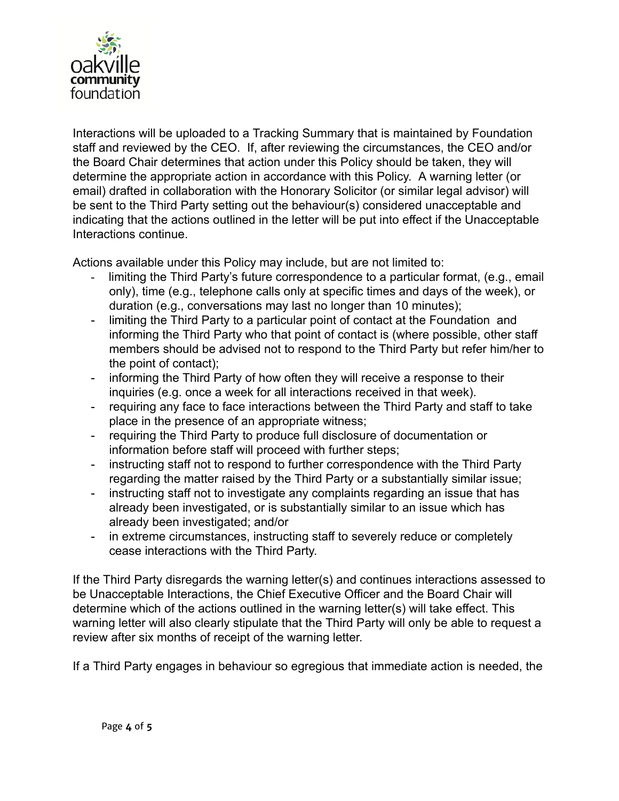

Interactions will be uploaded to a Tracking Summary that is maintained by Foundation staff and reviewed by the CEO. If, after reviewing the circumstances, the CEO and/or the Board Chair determines that action under this Policy should be taken, they will determine the appropriate action in accordance with this Policy. A warning letter (or email) drafted in collaboration with the Honorary Solicitor (or similar legal advisor) will be sent to the Third Party setting out the behaviour(s) considered unacceptable and indicating that the actions outlined in the letter will be put into effect if the Unacceptable Interactions continue.

Actions available under this Policy may include, but are not limited to:

- limiting the Third Party's future correspondence to a particular format, (e.g., email only), time (e.g., telephone calls only at specific times and days of the week), or duration (e.g., conversations may last no longer than 10 minutes);
- limiting the Third Party to a particular point of contact at the Foundation and informing the Third Party who that point of contact is (where possible, other staff members should be advised not to respond to the Third Party but refer him/her to the point of contact);
- informing the Third Party of how often they will receive a response to their inquiries (e.g. once a week for all interactions received in that week).
- requiring any face to face interactions between the Third Party and staff to take place in the presence of an appropriate witness;
- requiring the Third Party to produce full disclosure of documentation or information before staff will proceed with further steps;
- instructing staff not to respond to further correspondence with the Third Party regarding the matter raised by the Third Party or a substantially similar issue;
- instructing staff not to investigate any complaints regarding an issue that has already been investigated, or is substantially similar to an issue which has already been investigated; and/or
- in extreme circumstances, instructing staff to severely reduce or completely cease interactions with the Third Party.

If the Third Party disregards the warning letter(s) and continues interactions assessed to be Unacceptable Interactions, the Chief Executive Officer and the Board Chair will determine which of the actions outlined in the warning letter(s) will take effect. This warning letter will also clearly stipulate that the Third Party will only be able to request a review after six months of receipt of the warning letter.

If a Third Party engages in behaviour so egregious that immediate action is needed, the